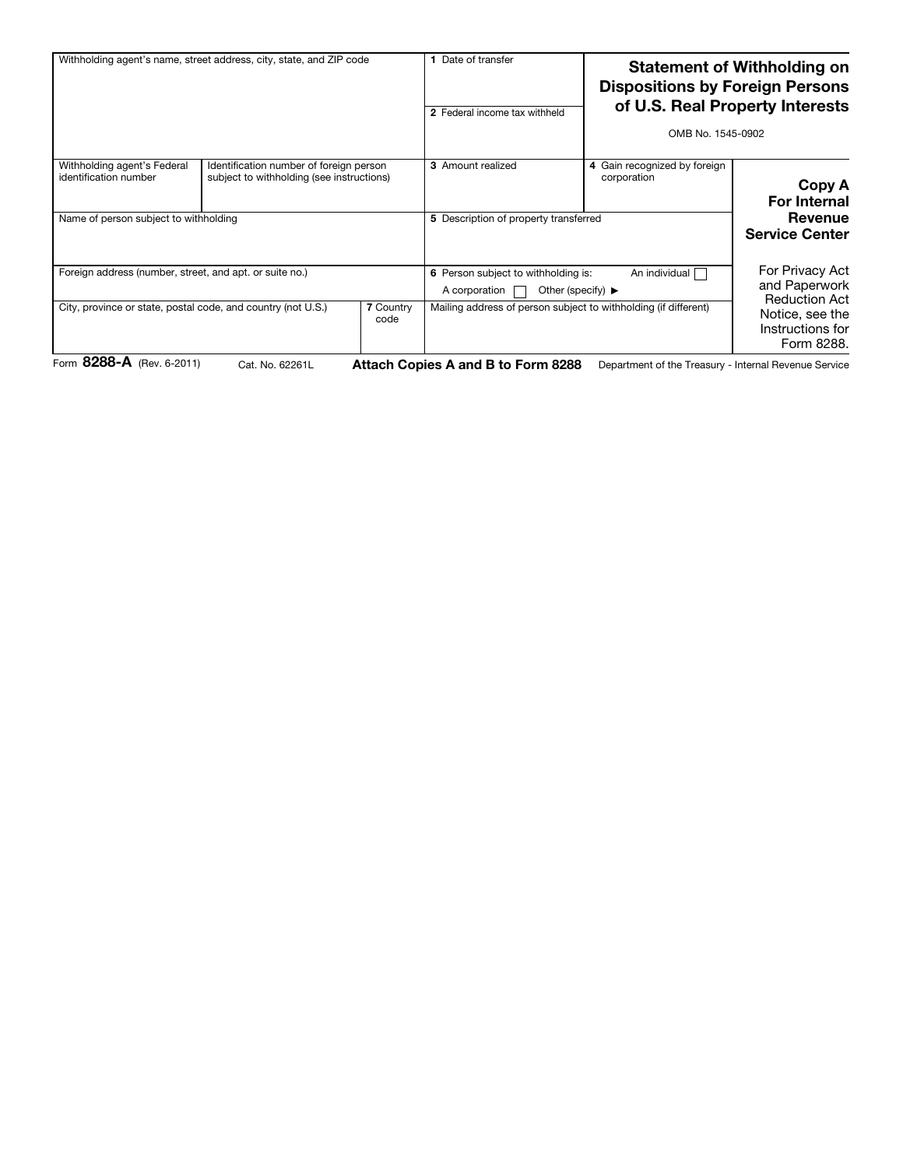| Withholding agent's name, street address, city, state, and ZIP code    |                                                                                      |                          | Date of transfer<br>2 Federal income tax withheld                                                              |                                                                 | <b>Statement of Withholding on</b><br><b>Dispositions by Foreign Persons</b><br>of U.S. Real Property Interests<br>OMB No. 1545-0902 |  |
|------------------------------------------------------------------------|--------------------------------------------------------------------------------------|--------------------------|----------------------------------------------------------------------------------------------------------------|-----------------------------------------------------------------|--------------------------------------------------------------------------------------------------------------------------------------|--|
| Withholding agent's Federal<br>identification number                   | Identification number of foreign person<br>subject to withholding (see instructions) |                          | <b>3</b> Amount realized                                                                                       | 4 Gain recognized by foreign<br>corporation                     | Copy A<br><b>For Internal</b>                                                                                                        |  |
| Name of person subject to withholding                                  |                                                                                      |                          | 5 Description of property transferred                                                                          |                                                                 | Revenue<br><b>Service Center</b>                                                                                                     |  |
| Foreign address (number, street, and apt. or suite no.)                |                                                                                      |                          | An individual<br>6 Person subject to withholding is:<br>Other (specify) $\blacktriangleright$<br>A corporation |                                                                 | For Privacy Act<br>and Paperwork                                                                                                     |  |
| City, province or state, postal code, and country (not U.S.)<br>---- - |                                                                                      | <b>7 Country</b><br>code |                                                                                                                | Mailing address of person subject to withholding (if different) | <b>Reduction Act</b><br>Notice, see the<br>Instructions for<br>Form 8288.                                                            |  |

Form 8288-A (Rev. 6-2011) Cat. No. 62261L Attach Copies A and B to Form 8288 Department of the Treasury - Internal Revenue Service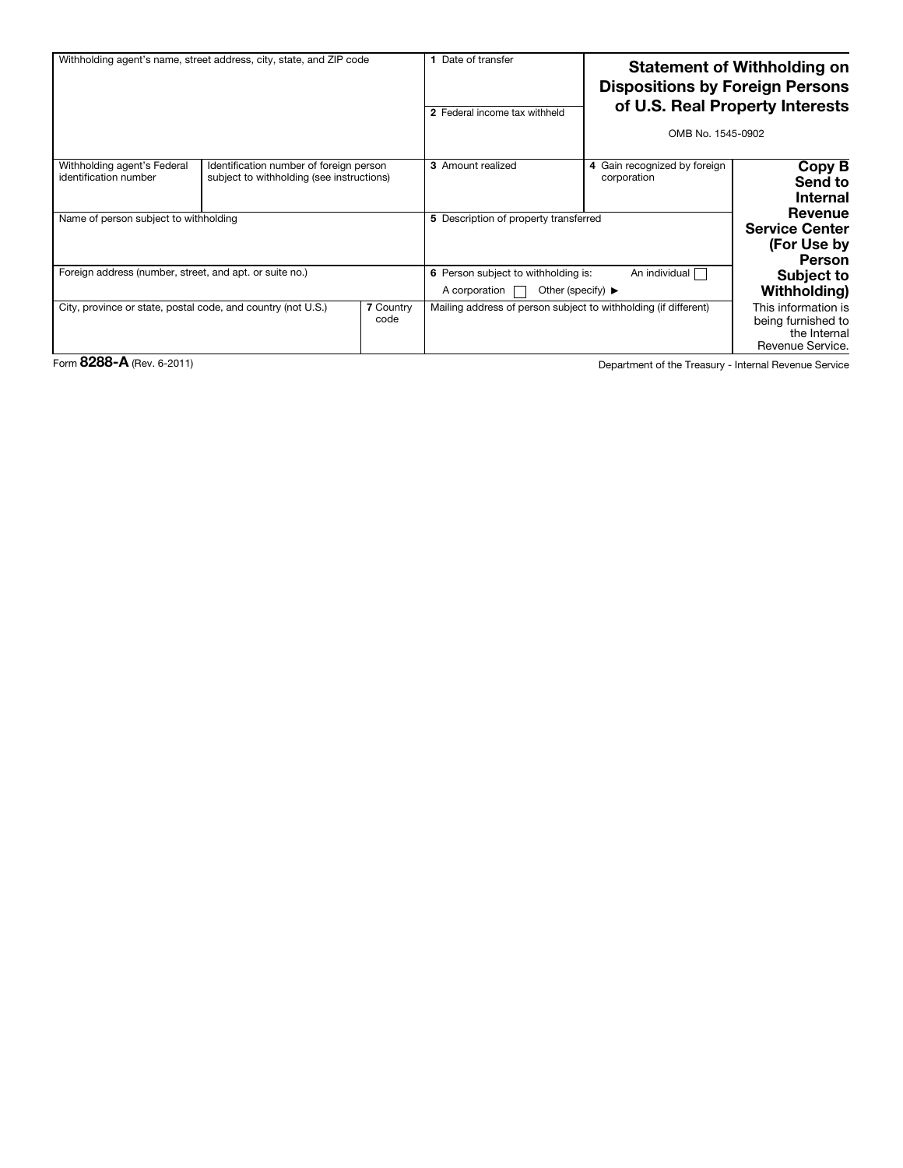| Withholding agent's name, street address, city, state, and ZIP code |                                                                                      |                          | Date of transfer<br>2 Federal income tax withheld                                                              |                                                                 | <b>Statement of Withholding on</b><br><b>Dispositions by Foreign Persons</b><br>of U.S. Real Property Interests<br>OMB No. 1545-0902 |  |
|---------------------------------------------------------------------|--------------------------------------------------------------------------------------|--------------------------|----------------------------------------------------------------------------------------------------------------|-----------------------------------------------------------------|--------------------------------------------------------------------------------------------------------------------------------------|--|
| Withholding agent's Federal<br>identification number                | Identification number of foreign person<br>subject to withholding (see instructions) |                          | <b>3</b> Amount realized                                                                                       | 4 Gain recognized by foreign<br>corporation                     | Copy B<br>Send to<br><b>Internal</b>                                                                                                 |  |
| Name of person subject to withholding                               |                                                                                      |                          | 5 Description of property transferred                                                                          |                                                                 | Revenue<br><b>Service Center</b><br>(For Use by<br>Person                                                                            |  |
| Foreign address (number, street, and apt. or suite no.)             |                                                                                      |                          | An individual<br>6 Person subject to withholding is:<br>Other (specify) $\blacktriangleright$<br>A corporation |                                                                 | <b>Subject to</b><br>Withholding)                                                                                                    |  |
| City, province or state, postal code, and country (not U.S.)        |                                                                                      | <b>7 Country</b><br>code |                                                                                                                | Mailing address of person subject to withholding (if different) | This information is<br>being furnished to<br>the Internal<br>Revenue Service.                                                        |  |

Form 8288-A (Rev. 6-2011) **Department of the Treasury - Internal Revenue Service**<br>
Department of the Treasury - Internal Revenue Service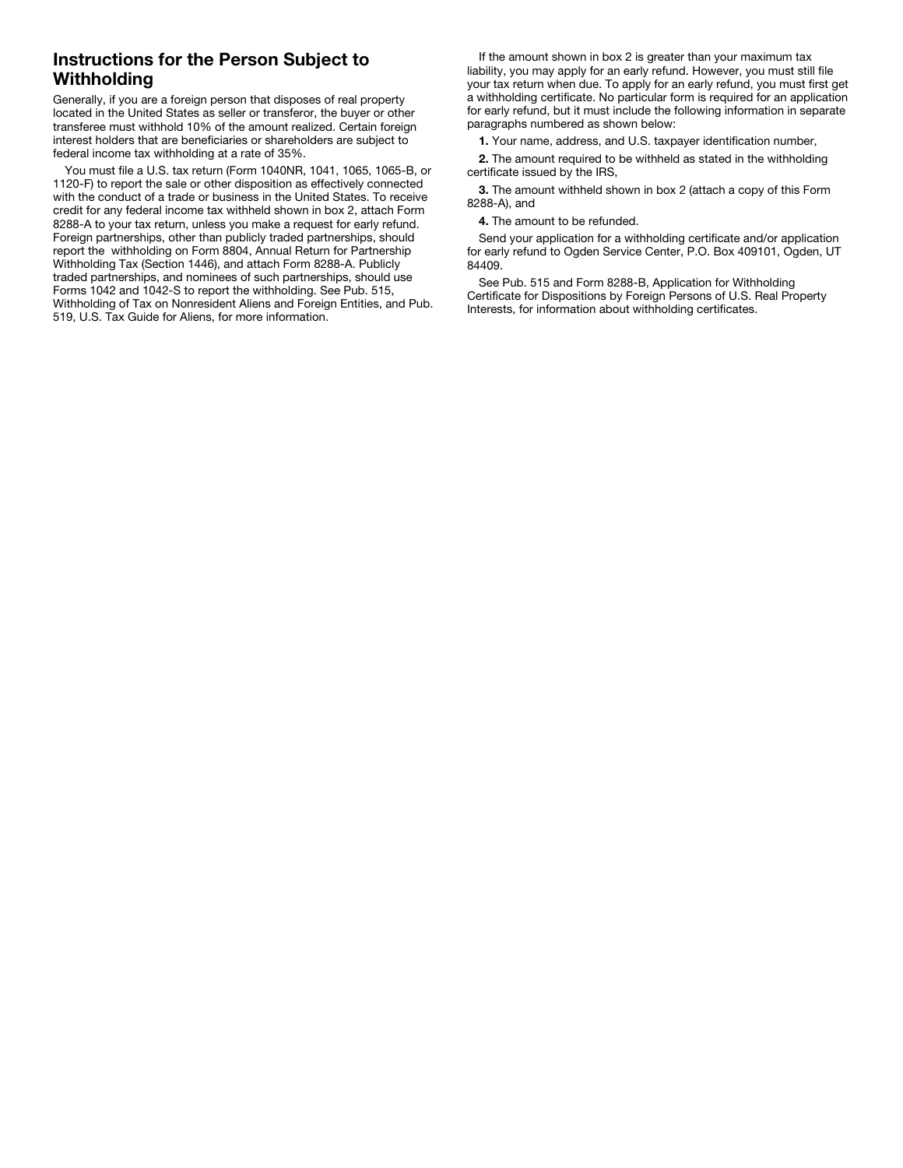## Instructions for the Person Subject to **Withholding**

Generally, if you are a foreign person that disposes of real property located in the United States as seller or transferor, the buyer or other transferee must withhold 10% of the amount realized. Certain foreign interest holders that are beneficiaries or shareholders are subject to federal income tax withholding at a rate of 35%.

You must file a U.S. tax return (Form 1040NR, 1041, 1065, 1065-B, or 1120-F) to report the sale or other disposition as effectively connected with the conduct of a trade or business in the United States. To receive credit for any federal income tax withheld shown in box 2, attach Form 8288-A to your tax return, unless you make a request for early refund. Foreign partnerships, other than publicly traded partnerships, should report the withholding on Form 8804, Annual Return for Partnership Withholding Tax (Section 1446), and attach Form 8288-A. Publicly traded partnerships, and nominees of such partnerships, should use Forms 1042 and 1042-S to report the withholding. See Pub. 515, Withholding of Tax on Nonresident Aliens and Foreign Entities, and Pub. 519, U.S. Tax Guide for Aliens, for more information.

If the amount shown in box 2 is greater than your maximum tax liability, you may apply for an early refund. However, you must still file your tax return when due. To apply for an early refund, you must first get a withholding certificate. No particular form is required for an application for early refund, but it must include the following information in separate paragraphs numbered as shown below:

1. Your name, address, and U.S. taxpayer identification number,

2. The amount required to be withheld as stated in the withholding certificate issued by the IRS,

3. The amount withheld shown in box 2 (attach a copy of this Form 8288-A), and

4. The amount to be refunded.

Send your application for a withholding certificate and/or application for early refund to Ogden Service Center, P.O. Box 409101, Ogden, UT 84409.

See Pub. 515 and Form 8288-B, Application for Withholding Certificate for Dispositions by Foreign Persons of U.S. Real Property Interests, for information about withholding certificates.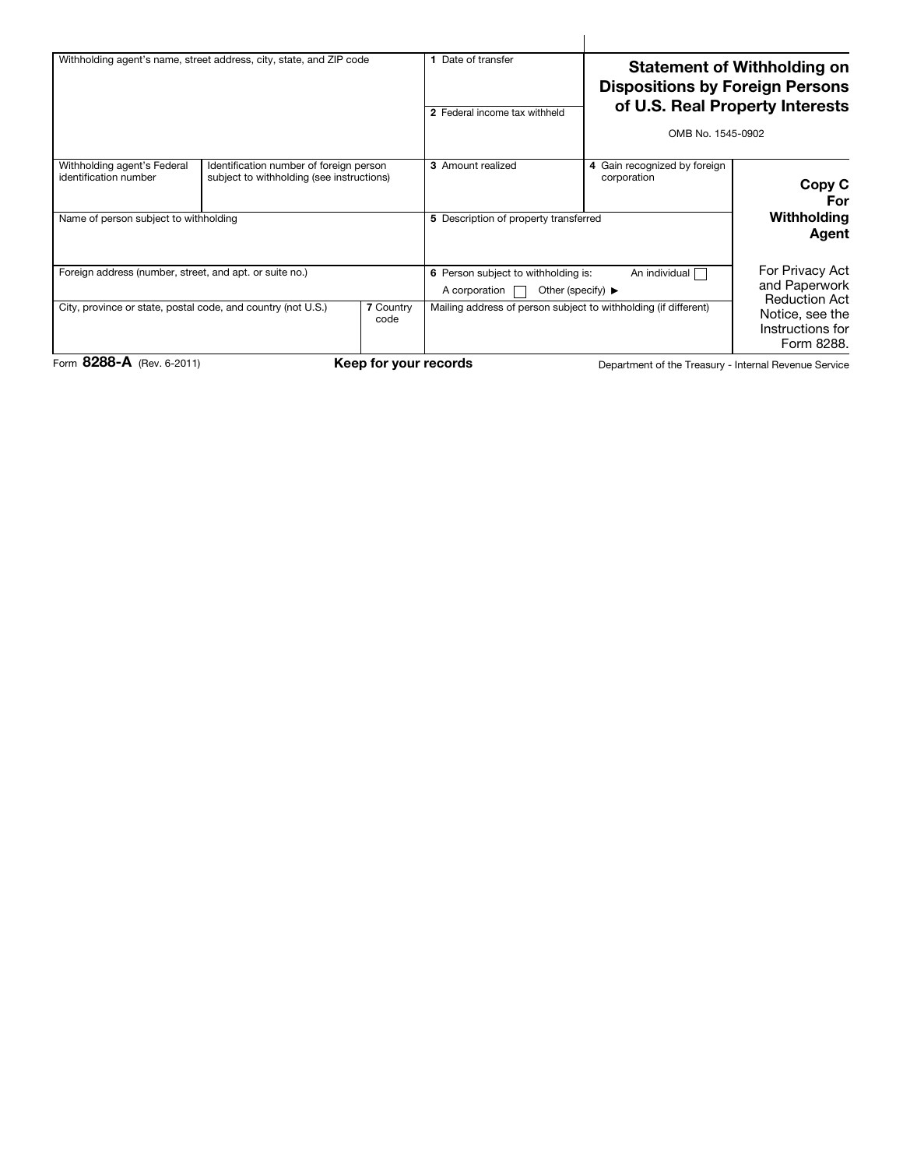| OMB No. 1545-0902                                                                                                                                                                                                                                                                                                                                                                                                                    | <b>Statement of Withholding on</b><br><b>Dispositions by Foreign Persons</b><br>of U.S. Real Property Interests |  |
|--------------------------------------------------------------------------------------------------------------------------------------------------------------------------------------------------------------------------------------------------------------------------------------------------------------------------------------------------------------------------------------------------------------------------------------|-----------------------------------------------------------------------------------------------------------------|--|
| 3 Amount realized<br>Withholding agent's Federal<br>Identification number of foreign person<br>4 Gain recognized by foreign<br>identification number<br>subject to withholding (see instructions)<br>corporation<br>Withholding<br>Name of person subject to withholding<br>5 Description of property transferred                                                                                                                    | Copy C<br>For<br>Agent                                                                                          |  |
| For Privacy Act<br>Foreign address (number, street, and apt. or suite no.)<br>An individual<br>6 Person subject to withholding is:<br>and Paperwork<br>Other (specify) $\blacktriangleright$<br>A corporation<br><b>Reduction Act</b><br>City, province or state, postal code, and country (not U.S.)<br>7 Country<br>Mailing address of person subject to withholding (if different)<br>Notice, see the<br>code<br>Instructions for | Form 8288.                                                                                                      |  |

 $\overline{1}$